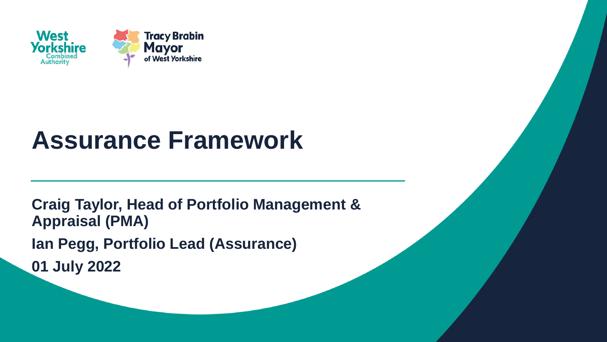

# **Assurance Framework**

**Craig Taylor, Head of Portfolio Management & Appraisal (PMA) Ian Pegg, Portfolio Lead (Assurance) 01 July 2022**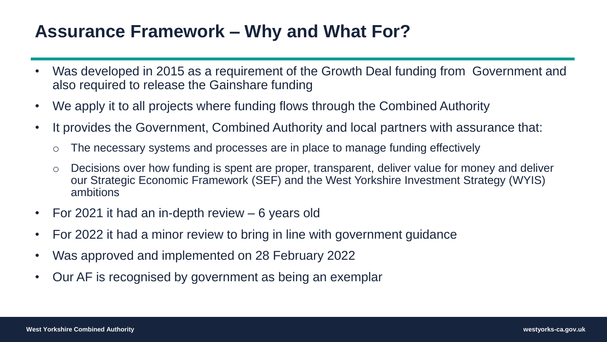### **Assurance Framework – Why and What For?**

- Was developed in 2015 as a requirement of the Growth Deal funding from Government and also required to release the Gainshare funding
- We apply it to all projects where funding flows through the Combined Authority
- It provides the Government, Combined Authority and local partners with assurance that:
	- o The necessary systems and processes are in place to manage funding effectively
	- o Decisions over how funding is spent are proper, transparent, deliver value for money and deliver our Strategic Economic Framework (SEF) and the West Yorkshire Investment Strategy (WYIS) ambitions
- For 2021 it had an in-depth review 6 years old
- For 2022 it had a minor review to bring in line with government guidance
- Was approved and implemented on 28 February 2022
- Our AF is recognised by government as being an exemplar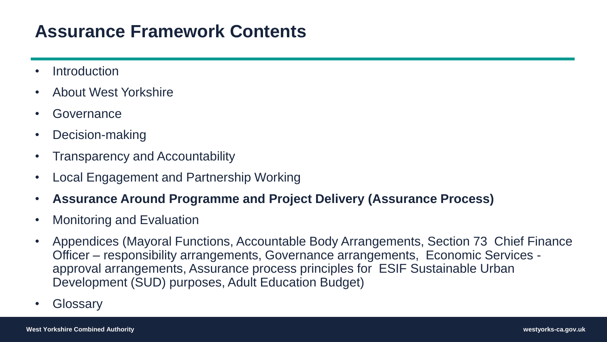### **Assurance Framework Contents**

- **Introduction**
- About West Yorkshire
- Governance
- Decision-making
- Transparency and Accountability
- Local Engagement and Partnership Working
- **Assurance Around Programme and Project Delivery (Assurance Process)**
- Monitoring and Evaluation
- Appendices (Mayoral Functions, Accountable Body Arrangements, Section 73 Chief Finance Officer – responsibility arrangements, Governance arrangements, Economic Services approval arrangements, Assurance process principles for ESIF Sustainable Urban Development (SUD) purposes, Adult Education Budget)
- Glossary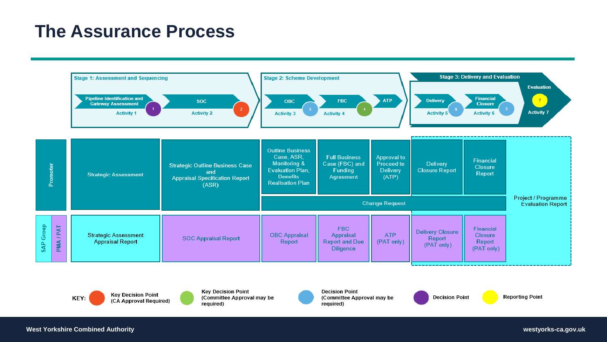#### **The Assurance Process**



**Key Decision Point** KEY: (CA Approval Required)

**Key Decision Point** (Committee Approval may be required)

**Decision Point** (Committee Approval may be required)

**Decision Point** 

**Reporting Point**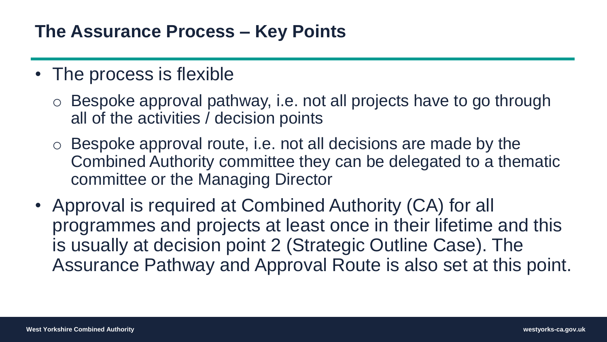#### **The Assurance Process – Key Points**

- The process is flexible
	- o Bespoke approval pathway, i.e. not all projects have to go through all of the activities / decision points
	- o Bespoke approval route, i.e. not all decisions are made by the Combined Authority committee they can be delegated to a thematic committee or the Managing Director
- Approval is required at Combined Authority (CA) for all programmes and projects at least once in their lifetime and this is usually at decision point 2 (Strategic Outline Case). The Assurance Pathway and Approval Route is also set at this point.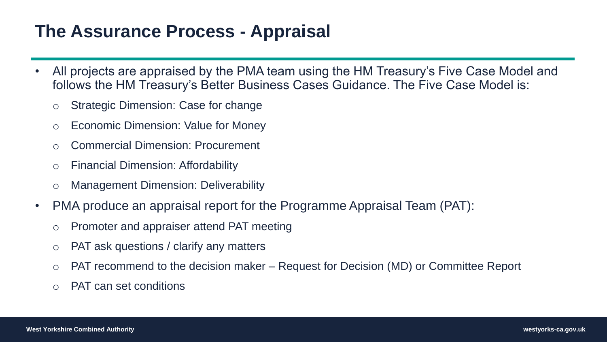### **The Assurance Process - Appraisal**

- All projects are appraised by the PMA team using the HM Treasury's Five Case Model and follows the HM Treasury's Better Business Cases Guidance. The Five Case Model is:
	- o Strategic Dimension: Case for change
	- o Economic Dimension: Value for Money
	- o Commercial Dimension: Procurement
	- o Financial Dimension: Affordability
	- o Management Dimension: Deliverability
- PMA produce an appraisal report for the Programme Appraisal Team (PAT):
	- o Promoter and appraiser attend PAT meeting
	- o PAT ask questions / clarify any matters
	- o PAT recommend to the decision maker Request for Decision (MD) or Committee Report
	- o PAT can set conditions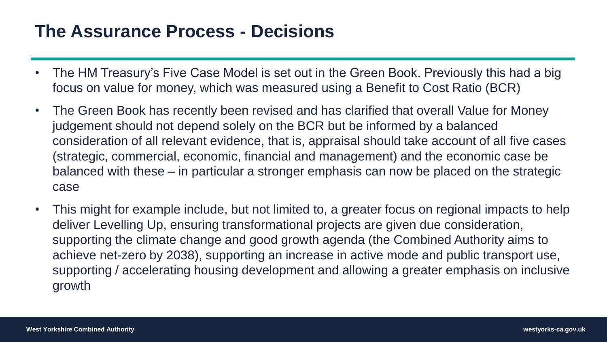#### **The Assurance Process - Decisions**

- The HM Treasury's Five Case Model is set out in the Green Book. Previously this had a big focus on value for money, which was measured using a Benefit to Cost Ratio (BCR)
- The Green Book has recently been revised and has clarified that overall Value for Money judgement should not depend solely on the BCR but be informed by a balanced consideration of all relevant evidence, that is, appraisal should take account of all five cases (strategic, commercial, economic, financial and management) and the economic case be balanced with these – in particular a stronger emphasis can now be placed on the strategic case
- This might for example include, but not limited to, a greater focus on regional impacts to help deliver Levelling Up, ensuring transformational projects are given due consideration, supporting the climate change and good growth agenda (the Combined Authority aims to achieve net-zero by 2038), supporting an increase in active mode and public transport use, supporting / accelerating housing development and allowing a greater emphasis on inclusive growth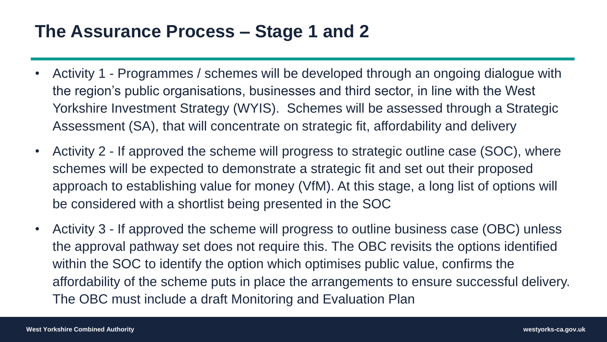#### **The Assurance Process – Stage 1 and 2**

- Activity 1 Programmes / schemes will be developed through an ongoing dialogue with the region's public organisations, businesses and third sector, in line with the West Yorkshire Investment Strategy (WYIS). Schemes will be assessed through a Strategic Assessment (SA), that will concentrate on strategic fit, affordability and delivery
- Activity 2 If approved the scheme will progress to strategic outline case (SOC), where schemes will be expected to demonstrate a strategic fit and set out their proposed approach to establishing value for money (VfM). At this stage, a long list of options will be considered with a shortlist being presented in the SOC
- Activity 3 If approved the scheme will progress to outline business case (OBC) unless the approval pathway set does not require this. The OBC revisits the options identified within the SOC to identify the option which optimises public value, confirms the affordability of the scheme puts in place the arrangements to ensure successful delivery. The OBC must include a draft Monitoring and Evaluation Plan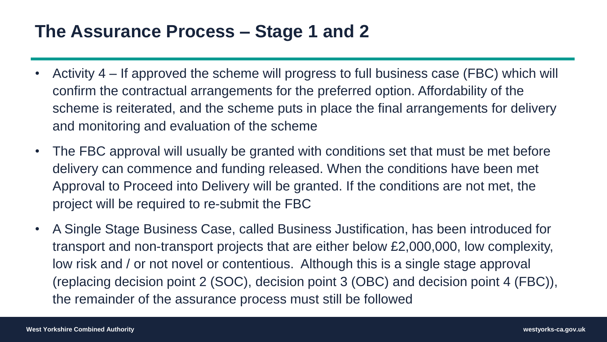#### **The Assurance Process – Stage 1 and 2**

- Activity 4 If approved the scheme will progress to full business case (FBC) which will confirm the contractual arrangements for the preferred option. Affordability of the scheme is reiterated, and the scheme puts in place the final arrangements for delivery and monitoring and evaluation of the scheme
- The FBC approval will usually be granted with conditions set that must be met before delivery can commence and funding released. When the conditions have been met Approval to Proceed into Delivery will be granted. If the conditions are not met, the project will be required to re-submit the FBC
- A Single Stage Business Case, called Business Justification, has been introduced for transport and non-transport projects that are either below £2,000,000, low complexity, low risk and / or not novel or contentious. Although this is a single stage approval (replacing decision point 2 (SOC), decision point 3 (OBC) and decision point 4 (FBC)), the remainder of the assurance process must still be followed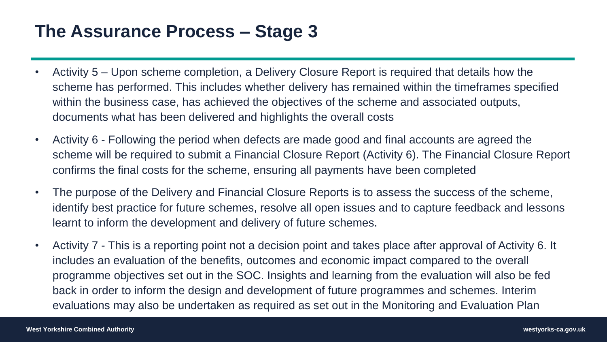#### **The Assurance Process – Stage 3**

- Activity 5 Upon scheme completion, a Delivery Closure Report is required that details how the scheme has performed. This includes whether delivery has remained within the timeframes specified within the business case, has achieved the objectives of the scheme and associated outputs, documents what has been delivered and highlights the overall costs
- Activity 6 Following the period when defects are made good and final accounts are agreed the scheme will be required to submit a Financial Closure Report (Activity 6). The Financial Closure Report confirms the final costs for the scheme, ensuring all payments have been completed
- The purpose of the Delivery and Financial Closure Reports is to assess the success of the scheme, identify best practice for future schemes, resolve all open issues and to capture feedback and lessons learnt to inform the development and delivery of future schemes.
- Activity 7 This is a reporting point not a decision point and takes place after approval of Activity 6. It includes an evaluation of the benefits, outcomes and economic impact compared to the overall programme objectives set out in the SOC. Insights and learning from the evaluation will also be fed back in order to inform the design and development of future programmes and schemes. Interim evaluations may also be undertaken as required as set out in the Monitoring and Evaluation Plan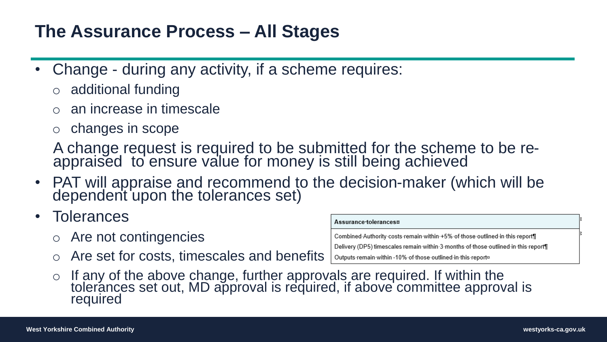#### **The Assurance Process – All Stages**

- Change during any activity, if a scheme requires:
	- o additional funding
	- an increase in timescale
	- o changes in scope

A change request is required to be submitted for the scheme to be reappraised to ensure value for money is still being achieved

- PAT will appraise and recommend to the decision-maker (which will be dependent upon the tolerances set)
- Tolerances
	- o Are not contingencies
	- o Are set for costs, timescales and benefits

| Assurance tolerances¤                                                             |
|-----------------------------------------------------------------------------------|
| Combined Authority costs remain within +5% of those outlined in this report       |
| Delivery (DP5) timescales remain within 3 months of those outlined in this report |
| Outputs remain within -10% of those outlined in this reports                      |
| $\lambda$ lo are required If within the                                           |

 $\circ$  If any of the above change, further approvals are required. If within the tolerances set out, MD approval is required, if above committee approval is required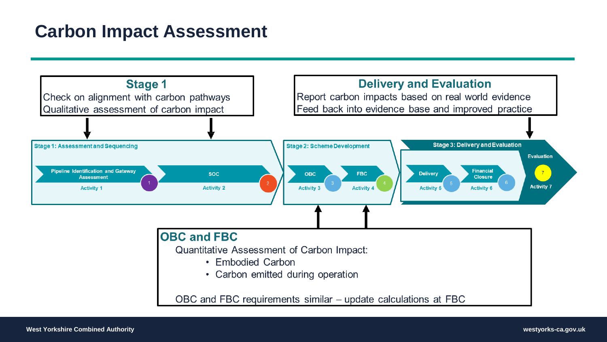#### **Carbon Impact Assessment**

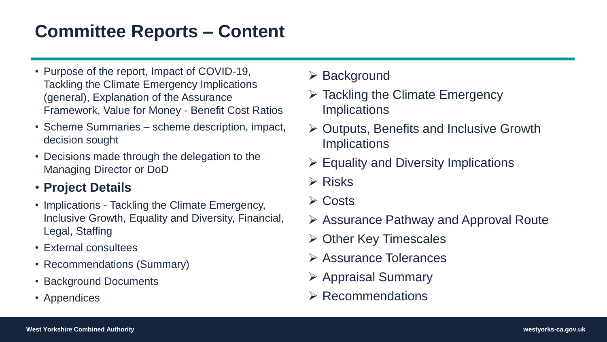#### **Committee Reports – Content**

- Purpose of the report, Impact of COVID-19, Tackling the Climate Emergency Implications (general), Explanation of the Assurance Framework, Value for Money - Benefit Cost Ratios
- Scheme Summaries scheme description, impact, decision sought
- Decisions made through the delegation to the Managing Director or DoD

#### • **Project Details**

- Implications Tackling the Climate Emergency, Inclusive Growth, Equality and Diversity, Financial, Legal, Staffing
- External consultees
- Recommendations (Summary)
- Background Documents
- Appendices
- ➢ Background
- ➢ Tackling the Climate Emergency **Implications**
- ➢ Outputs, Benefits and Inclusive Growth **Implications**
- $\triangleright$  Equality and Diversity Implications
- ➢ Risks
- ➢ Costs
- ➢ Assurance Pathway and Approval Route
- ➢ Other Key Timescales
- ➢ Assurance Tolerances
- ➢ Appraisal Summary
- ➢ Recommendations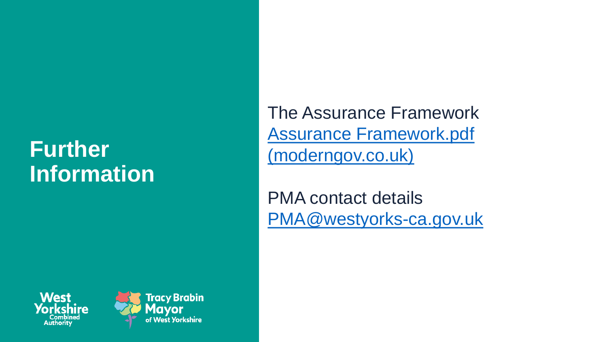## **Further Information**

The Assurance Framework [Assurance Framework.pdf](https://westyorkshire.moderngov.co.uk/documents/s26230/Assurance%20Framework.pdf)  (moderngov.co.uk)

PMA contact details [PMA@westyorks](mailto:PMA@westyorks-ca.gov.uk) -ca.gov.uk